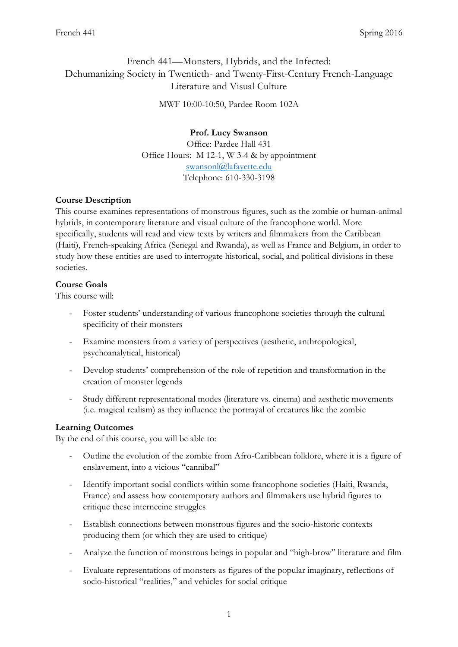# French 441—Monsters, Hybrids, and the Infected: Dehumanizing Society in Twentieth- and Twenty-First-Century French-Language Literature and Visual Culture

MWF 10:00-10:50, Pardee Room 102A

# **Prof. Lucy Swanson**

Office: Pardee Hall 431 Office Hours: M 12-1, W 3-4 & by appointment [swansonl@lafayette.edu](mailto:swansonl@lafayette.edu) Telephone: 610-330-3198

# **Course Description**

This course examines representations of monstrous figures, such as the zombie or human-animal hybrids, in contemporary literature and visual culture of the francophone world. More specifically, students will read and view texts by writers and filmmakers from the Caribbean (Haiti), French-speaking Africa (Senegal and Rwanda), as well as France and Belgium, in order to study how these entities are used to interrogate historical, social, and political divisions in these societies.

#### **Course Goals**

This course will:

- Foster students' understanding of various francophone societies through the cultural specificity of their monsters
- Examine monsters from a variety of perspectives (aesthetic, anthropological, psychoanalytical, historical)
- Develop students' comprehension of the role of repetition and transformation in the creation of monster legends
- Study different representational modes (literature vs. cinema) and aesthetic movements (i.e. magical realism) as they influence the portrayal of creatures like the zombie

# **Learning Outcomes**

By the end of this course, you will be able to:

- Outline the evolution of the zombie from Afro-Caribbean folklore, where it is a figure of enslavement, into a vicious "cannibal"
- Identify important social conflicts within some francophone societies (Haiti, Rwanda, France) and assess how contemporary authors and filmmakers use hybrid figures to critique these internecine struggles
- Establish connections between monstrous figures and the socio-historic contexts producing them (or which they are used to critique)
- Analyze the function of monstrous beings in popular and "high-brow" literature and film
- Evaluate representations of monsters as figures of the popular imaginary, reflections of socio-historical "realities," and vehicles for social critique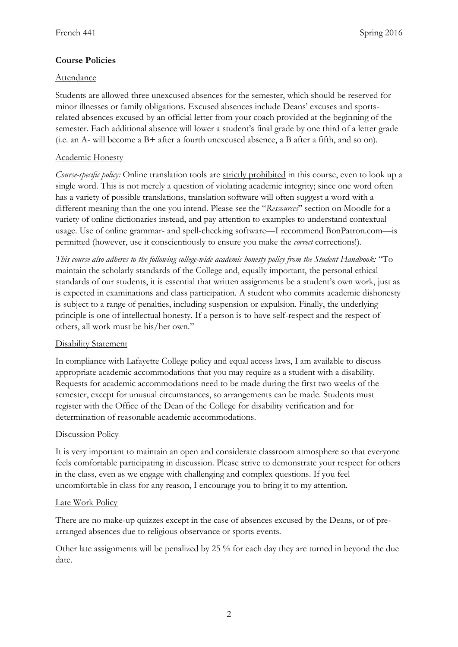# **Course Policies**

#### Attendance

Students are allowed three unexcused absences for the semester, which should be reserved for minor illnesses or family obligations. Excused absences include Deans' excuses and sportsrelated absences excused by an official letter from your coach provided at the beginning of the semester. Each additional absence will lower a student's final grade by one third of a letter grade (i.e. an A- will become a B+ after a fourth unexcused absence, a B after a fifth, and so on).

# Academic Honesty

*Course-specific policy:* Online translation tools are strictly prohibited in this course, even to look up a single word. This is not merely a question of violating academic integrity; since one word often has a variety of possible translations, translation software will often suggest a word with a different meaning than the one you intend. Please see the "*Ressources*" section on Moodle for a variety of online dictionaries instead, and pay attention to examples to understand contextual usage. Use of online grammar- and spell-checking software—I recommend BonPatron.com—is permitted (however, use it conscientiously to ensure you make the *correct* corrections!).

*This course also adheres to the following college-wide academic honesty policy from the Student Handbook:* "To maintain the scholarly standards of the College and, equally important, the personal ethical standards of our students, it is essential that written assignments be a student's own work, just as is expected in examinations and class participation. A student who commits academic dishonesty is subject to a range of penalties, including suspension or expulsion. Finally, the underlying principle is one of intellectual honesty. If a person is to have self-respect and the respect of others, all work must be his/her own."

# Disability Statement

In compliance with Lafayette College policy and equal access laws, I am available to discuss appropriate academic accommodations that you may require as a student with a disability. Requests for academic accommodations need to be made during the first two weeks of the semester, except for unusual circumstances, so arrangements can be made. Students must register with the Office of the Dean of the College for disability verification and for determination of reasonable academic accommodations.

# Discussion Policy

It is very important to maintain an open and considerate classroom atmosphere so that everyone feels comfortable participating in discussion. Please strive to demonstrate your respect for others in the class, even as we engage with challenging and complex questions. If you feel uncomfortable in class for any reason, I encourage you to bring it to my attention.

#### Late Work Policy

There are no make-up quizzes except in the case of absences excused by the Deans, or of prearranged absences due to religious observance or sports events.

Other late assignments will be penalized by 25 % for each day they are turned in beyond the due date.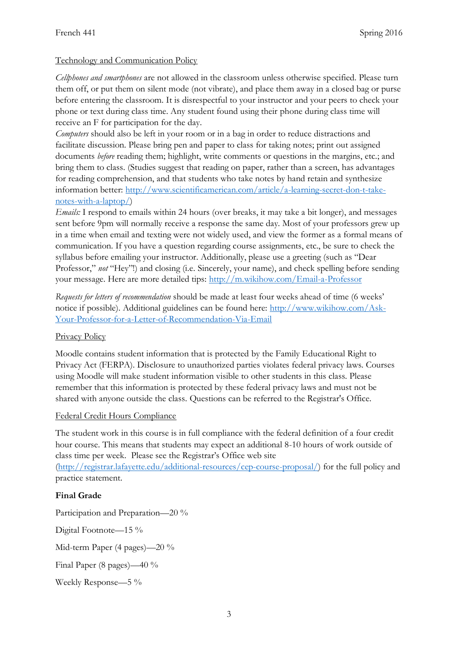# Technology and Communication Policy

*Cellphones and smartphones* are not allowed in the classroom unless otherwise specified. Please turn them off, or put them on silent mode (not vibrate), and place them away in a closed bag or purse before entering the classroom. It is disrespectful to your instructor and your peers to check your phone or text during class time. Any student found using their phone during class time will receive an F for participation for the day.

*Computers* should also be left in your room or in a bag in order to reduce distractions and facilitate discussion. Please bring pen and paper to class for taking notes; print out assigned documents *before* reading them; highlight, write comments or questions in the margins, etc.; and bring them to class. (Studies suggest that reading on paper, rather than a screen, has advantages for reading comprehension, and that students who take notes by hand retain and synthesize information better: [http://www.scientificamerican.com/article/a-learning-secret-don-t-take](http://www.scientificamerican.com/article/a-learning-secret-don-t-take-notes-with-a-laptop/)[notes-with-a-laptop/\)](http://www.scientificamerican.com/article/a-learning-secret-don-t-take-notes-with-a-laptop/)

*Emails:* I respond to emails within 24 hours (over breaks, it may take a bit longer), and messages sent before 9pm will normally receive a response the same day. Most of your professors grew up in a time when email and texting were not widely used, and view the former as a formal means of communication. If you have a question regarding course assignments, etc., be sure to check the syllabus before emailing your instructor. Additionally, please use a greeting (such as "Dear Professor," *not* "Hey"!) and closing (i.e. Sincerely, your name), and check spelling before sending your message. Here are more detailed tips:<http://m.wikihow.com/Email-a-Professor>

*Requests for letters of recommendation* should be made at least four weeks ahead of time (6 weeks' notice if possible). Additional guidelines can be found here: [http://www.wikihow.com/Ask-](http://www.wikihow.com/Ask-Your-Professor-for-a-Letter-of-Recommendation-Via-Email)[Your-Professor-for-a-Letter-of-Recommendation-Via-Email](http://www.wikihow.com/Ask-Your-Professor-for-a-Letter-of-Recommendation-Via-Email)

# Privacy Policy

Moodle contains student information that is protected by the Family Educational Right to Privacy Act (FERPA). Disclosure to unauthorized parties violates federal privacy laws. Courses using Moodle will make student information visible to other students in this class. Please remember that this information is protected by these federal privacy laws and must not be shared with anyone outside the class. Questions can be referred to the Registrar's Office.

# Federal Credit Hours Compliance

The student work in this course is in full compliance with the federal definition of a four credit hour course. This means that students may expect an additional 8-10 hours of work outside of class time per week. Please see the Registrar's Office web site

[\(http://registrar.lafayette.edu/additional-resources/cep-course-proposal/\)](http://registrar.lafayette.edu/additional-resources/cep-course-proposal/) for the full policy and practice statement.

# **Final Grade**

Participation and Preparation—20 %

Digital Footnote—15 %

Mid-term Paper (4 pages)—20 %

Final Paper (8 pages)—40 %

Weekly Response—5 %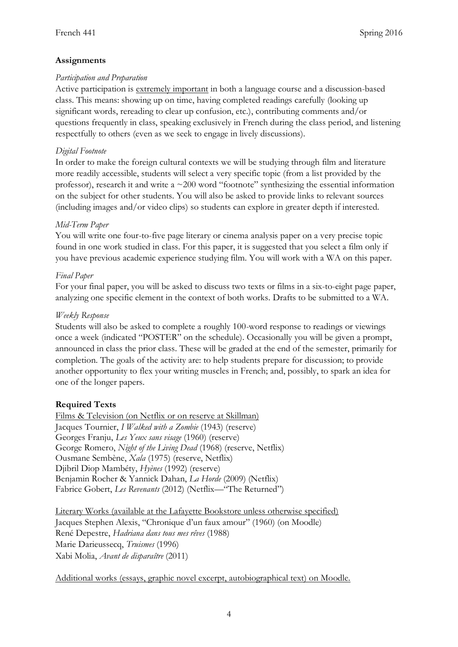# **Assignments**

#### *Participation and Preparation*

Active participation is extremely important in both a language course and a discussion-based class. This means: showing up on time, having completed readings carefully (looking up significant words, rereading to clear up confusion, etc.), contributing comments and/or questions frequently in class, speaking exclusively in French during the class period, and listening respectfully to others (even as we seek to engage in lively discussions).

#### *Digital Footnote*

In order to make the foreign cultural contexts we will be studying through film and literature more readily accessible, students will select a very specific topic (from a list provided by the professor), research it and write a  $\sim$  200 word "footnote" synthesizing the essential information on the subject for other students. You will also be asked to provide links to relevant sources (including images and/or video clips) so students can explore in greater depth if interested.

#### *Mid-Term Paper*

You will write one four-to-five page literary or cinema analysis paper on a very precise topic found in one work studied in class. For this paper, it is suggested that you select a film only if you have previous academic experience studying film. You will work with a WA on this paper.

#### *Final Paper*

For your final paper, you will be asked to discuss two texts or films in a six-to-eight page paper, analyzing one specific element in the context of both works. Drafts to be submitted to a WA.

#### *Weekly Response*

Students will also be asked to complete a roughly 100-word response to readings or viewings once a week (indicated "POSTER" on the schedule). Occasionally you will be given a prompt, announced in class the prior class. These will be graded at the end of the semester, primarily for completion. The goals of the activity are: to help students prepare for discussion; to provide another opportunity to flex your writing muscles in French; and, possibly, to spark an idea for one of the longer papers.

# **Required Texts**

Films & Television (on Netflix or on reserve at Skillman) Jacques Tournier, *I Walked with a Zombie* (1943) (reserve) Georges Franju, *Les Yeux sans visage* (1960) (reserve) George Romero, *Night of the Living Dead* (1968) (reserve, Netflix) Ousmane Sembène, *Xala* (1975) (reserve, Netflix) Djibril Diop Mambéty, *Hyènes* (1992) (reserve) Benjamin Rocher & Yannick Dahan, *La Horde* (2009) (Netflix) Fabrice Gobert, *Les Revenants* (2012) (Netflix—"The Returned")

Literary Works (available at the Lafayette Bookstore unless otherwise specified) Jacques Stephen Alexis, "Chronique d'un faux amour" (1960) (on Moodle) René Depestre, *Hadriana dans tous mes rêves* (1988) Marie Darieussecq, *Truismes* (1996) Xabi Molia, *Avant de disparaître* (2011)

Additional works (essays, graphic novel excerpt, autobiographical text) on Moodle.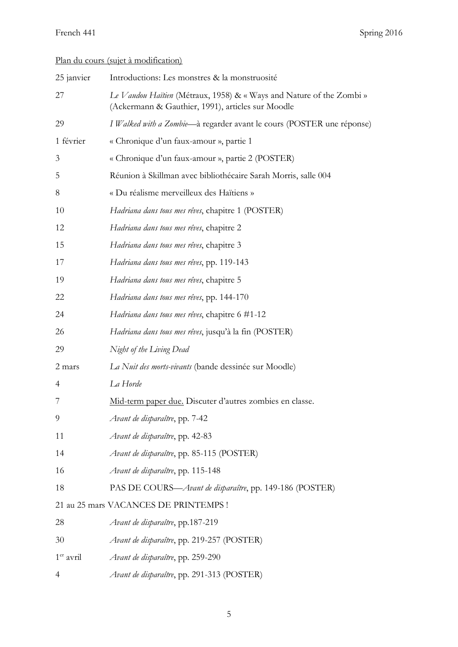# Plan du cours (sujet à modification)

| 25 janvier     | Introductions: Les monstres & la monstruosité                                                                             |
|----------------|---------------------------------------------------------------------------------------------------------------------------|
| 27             | Le Vaudou Haïtien (Métraux, 1958) & « Ways and Nature of the Zombi »<br>(Ackermann & Gauthier, 1991), articles sur Moodle |
| 29             | I Walked with a Zombie-à regarder avant le cours (POSTER une réponse)                                                     |
| 1 février      | « Chronique d'un faux-amour », partie 1                                                                                   |
| 3              | « Chronique d'un faux-amour », partie 2 (POSTER)                                                                          |
| 5              | Réunion à Skillman avec bibliothécaire Sarah Morris, salle 004                                                            |
| 8              | « Du réalisme merveilleux des Haïtiens »                                                                                  |
| 10             | Hadriana dans tous mes rêves, chapitre 1 (POSTER)                                                                         |
| 12             | Hadriana dans tous mes rêves, chapitre 2                                                                                  |
| 15             | Hadriana dans tous mes rêves, chapitre 3                                                                                  |
| 17             | Hadriana dans tous mes rêves, pp. 119-143                                                                                 |
| 19             | Hadriana dans tous mes rêves, chapitre 5                                                                                  |
| 22             | Hadriana dans tous mes rêves, pp. 144-170                                                                                 |
| 24             | <i>Hadriana dans tous mes rêves</i> , chapitre 6 #1-12                                                                    |
| 26             | Hadriana dans tous mes rêves, jusqu'à la fin (POSTER)                                                                     |
| 29             | Night of the Living Dead                                                                                                  |
| 2 mars         | La Nuit des morts-vivants (bande dessinée sur Moodle)                                                                     |
| $\overline{4}$ | La Horde                                                                                                                  |
| 7              | Mid-term paper due. Discuter d'autres zombies en classe.                                                                  |
| 9              | Avant de disparaître, pp. 7-42                                                                                            |
| 11             | Avant de disparaître, pp. 42-83                                                                                           |
| 14             | Avant de disparaître, pp. 85-115 (POSTER)                                                                                 |
| 16             | Avant de disparaître, pp. 115-148                                                                                         |
| 18             | PAS DE COURS—Avant de disparaître, pp. 149-186 (POSTER)                                                                   |
|                | 21 au 25 mars VACANCES DE PRINTEMPS !                                                                                     |
| 28             | Avant de disparaître, pp.187-219                                                                                          |
| 30             | Avant de disparaître, pp. 219-257 (POSTER)                                                                                |
| $1er$ avril    | Avant de disparaître, pp. 259-290                                                                                         |
| $\overline{4}$ | Avant de disparaître, pp. 291-313 (POSTER)                                                                                |